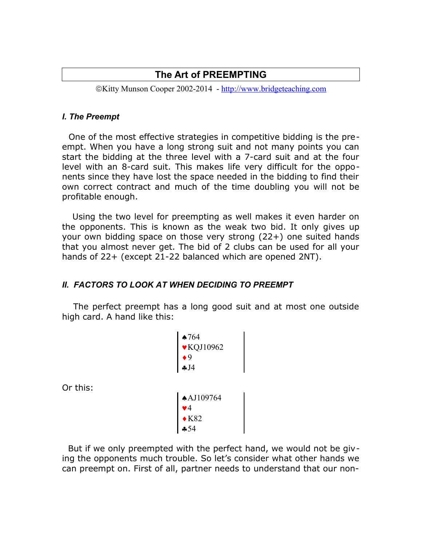# **The Art of PREEMPTING**

Kitty Munson Cooper 2002-2014 - [http://www.br](http://www.kittycooper.com/)idgeteaching.com

#### *I. The Preempt*

Or this:

 One of the most effective strategies in competitive bidding is the preempt. When you have a long strong suit and not many points you can start the bidding at the three level with a 7-card suit and at the four level with an 8-card suit. This makes life very difficult for the opponents since they have lost the space needed in the bidding to find their own correct contract and much of the time doubling you will not be profitable enough.

 Using the two level for preempting as well makes it even harder on the opponents. This is known as the weak two bid. It only gives up your own bidding space on those very strong (22+) one suited hands that you almost never get. The bid of 2 clubs can be used for all your hands of 22+ (except 21-22 balanced which are opened 2NT).

## *II. FACTORS TO LOOK AT WHEN DECIDING TO PREEMPT*

 The perfect preempt has a long good suit and at most one outside high card. A hand like this:

| $\spadesuit 764$<br>$\blacktriangledown$ KQJ10962<br>$\bullet$ <sup>9</sup> |
|-----------------------------------------------------------------------------|
| $-14$                                                                       |
|                                                                             |
|                                                                             |
| $A$ J109764                                                                 |
| $\bullet 4$                                                                 |
| $\triangle$ K82                                                             |
| * 54                                                                        |

 But if we only preempted with the perfect hand, we would not be giving the opponents much trouble. So let's consider what other hands we can preempt on. First of all, partner needs to understand that our non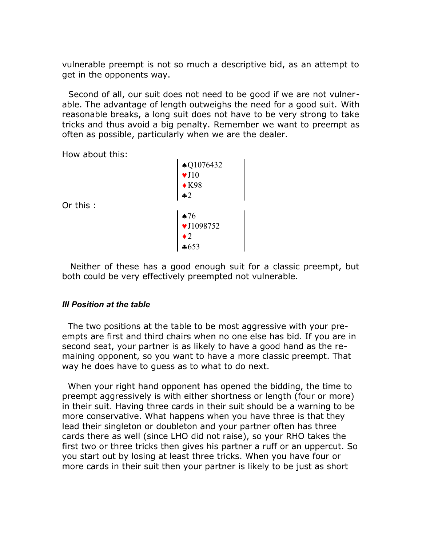vulnerable preempt is not so much a descriptive bid, as an attempt to get in the opponents way.

 Second of all, our suit does not need to be good if we are not vulnerable. The advantage of length outweighs the need for a good suit. With reasonable breaks, a long suit does not have to be very strong to take tricks and thus avoid a big penalty. Remember we want to preempt as often as possible, particularly when we are the dealer.

How about this:

♦
$$
Q1076432
$$

\n♦ $J10$ 

\n♦ $K98$ 

\n♦ $2$ 

\n♦ $J1098752$ 

\n♦ $2$ 

\n♦ $653$ 

Or this :

 Neither of these has a good enough suit for a classic preempt, but both could be very effectively preempted not vulnerable.

#### *III Position at the table*

 The two positions at the table to be most aggressive with your preempts are first and third chairs when no one else has bid. If you are in second seat, your partner is as likely to have a good hand as the remaining opponent, so you want to have a more classic preempt. That way he does have to guess as to what to do next.

 When your right hand opponent has opened the bidding, the time to preempt aggressively is with either shortness or length (four or more) in their suit. Having three cards in their suit should be a warning to be more conservative. What happens when you have three is that they lead their singleton or doubleton and your partner often has three cards there as well (since LHO did not raise), so your RHO takes the first two or three tricks then gives his partner a ruff or an uppercut. So you start out by losing at least three tricks. When you have four or more cards in their suit then your partner is likely to be just as short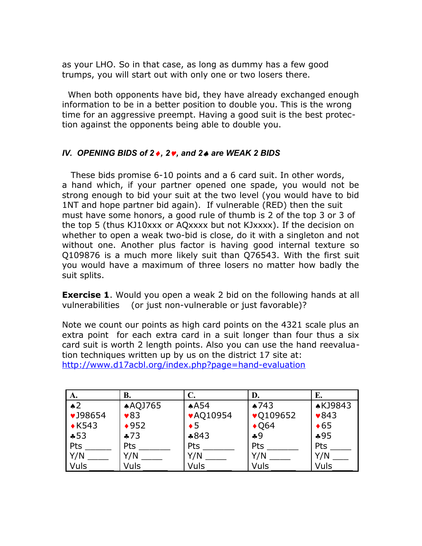as your LHO. So in that case, as long as dummy has a few good trumps, you will start out with only one or two losers there.

 When both opponents have bid, they have already exchanged enough information to be in a better position to double you. This is the wrong time for an aggressive preempt. Having a good suit is the best protection against the opponents being able to double you.

### *IV.* OPENING BIDS of 2♦, 2♥, and 2♦ are WEAK 2 BIDS

 These bids promise 6-10 points and a 6 card suit. In other words, a hand which, if your partner opened one spade, you would not be strong enough to bid your suit at the two level (you would have to bid 1NT and hope partner bid again). If vulnerable (RED) then the suit must have some honors, a good rule of thumb is 2 of the top 3 or 3 of the top 5 (thus KJ10xxx or AQxxxx but not KJxxxx). If the decision on whether to open a weak two-bid is close, do it with a singleton and not without one. Another plus factor is having good internal texture so Q109876 is a much more likely suit than Q76543. With the first suit you would have a maximum of three losers no matter how badly the suit splits.

**Exercise 1.** Would you open a weak 2 bid on the following hands at all vulnerabilities (or just non-vulnerable or just favorable)?

Note we count our points as high card points on the 4321 scale plus an extra point for each extra card in a suit longer than four thus a six card suit is worth 2 length points. Also you can use the hand reevaluation techniques written up by us on the district 17 site at: <http://www.d17acbl.org/index.php?page=hand-evaluation>

| A.               | В.                      | C.              | D.               | E.                       |
|------------------|-------------------------|-----------------|------------------|--------------------------|
| $\triangle$      | <b>AAQJ765</b>          | A54             | ▲743             | <b>AKJ9843</b>           |
| <b>v</b> J98654  | $\blacktriangledown 83$ | <b>vAQ10954</b> | $\sqrt{0109652}$ | $\blacktriangledown 843$ |
| $\triangle$ K543 | •952                    |                 | $\bullet$ Q64    | $\bullet$ 65             |
| $*53$            | \$73                    | $*843$          | $-9$             | $*95$                    |
| Pts              | Pts                     | Pts             | Pts              | Pts                      |
| Y/N              | Y/N                     | Y/N             | Y/N              | Y/N                      |
| Vuls             | Vuls                    | Vuls            | Vuls             | Vuls                     |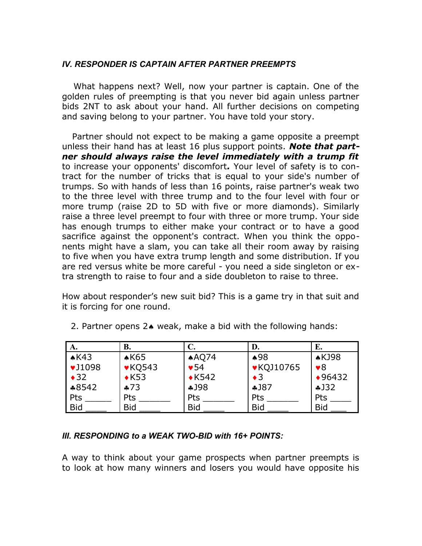## *IV. RESPONDER IS CAPTAIN AFTER PARTNER PREEMPTS*

 What happens next? Well, now your partner is captain. One of the golden rules of preempting is that you never bid again unless partner bids 2NT to ask about your hand. All further decisions on competing and saving belong to your partner. You have told your story.

 Partner should not expect to be making a game opposite a preempt unless their hand has at least 16 plus support points. *Note that partner should always raise the level immediately with a trump fit* to increase your opponents' discomfort*.* Your level of safety is to contract for the number of tricks that is equal to your side's number of trumps. So with hands of less than 16 points, raise partner's weak two to the three level with three trump and to the four level with four or more trump (raise 2D to 5D with five or more diamonds). Similarly raise a three level preempt to four with three or more trump. Your side has enough trumps to either make your contract or to have a good sacrifice against the opponent's contract. When you think the opponents might have a slam, you can take all their room away by raising to five when you have extra trump length and some distribution. If you are red versus white be more careful - you need a side singleton or extra strength to raise to four and a side doubleton to raise to three.

How about responder's new suit bid? This is a game try in that suit and it is forcing for one round.

| A.                 | В.                          | $\mathbf{C}$ .          | D.                | E.            |
|--------------------|-----------------------------|-------------------------|-------------------|---------------|
| AK43               | $\triangle$ K65             | $A$ AQ74                | ▲98               | <b>AKJ98</b>  |
| $\times$ J1098     | $\blacktriangleright$ KQ543 | $\blacktriangledown$ 54 | <b>v</b> KQJ10765 | $\mathbf{v}8$ |
| $\triangleleft$ 32 | $\triangle$ K53             | $\triangle$ K542        | $\bullet$ 3       | $*96432$      |
| *8542              | \$73                        | <b>4J98</b>             | \$J87             | \$J32         |
| Pts                | Pts                         | Pts                     | Pts               | Pts           |
| <b>Bid</b>         | <b>Bid</b>                  | <b>Bid</b>              | <b>Bid</b>        | <b>Bid</b>    |

2. Partner opens 2. weak, make a bid with the following hands:

## *III. RESPONDING to a WEAK TWO-BID with 16+ POINTS:*

A way to think about your game prospects when partner preempts is to look at how many winners and losers you would have opposite his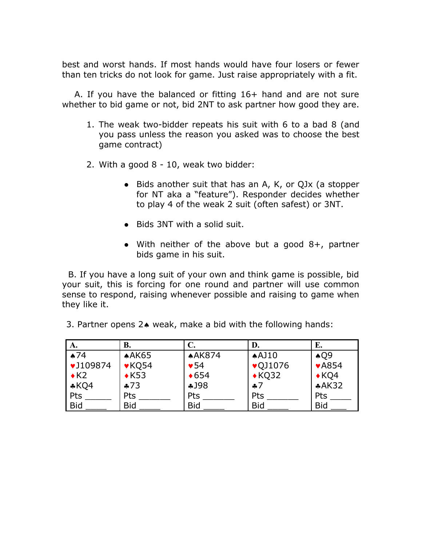best and worst hands. If most hands would have four losers or fewer than ten tricks do not look for game. Just raise appropriately with a fit.

 A. If you have the balanced or fitting 16+ hand and are not sure whether to bid game or not, bid 2NT to ask partner how good they are.

- 1. The weak two-bidder repeats his suit with 6 to a bad 8 (and you pass unless the reason you asked was to choose the best game contract)
- 2. With a good 8 10, weak two bidder:
	- Bids another suit that has an A, K, or QJx (a stopper for NT aka a "feature"). Responder decides whether to play 4 of the weak 2 suit (often safest) or 3NT.
	- Bids 3NT with a solid suit.
	- With neither of the above but a good 8+, partner bids game in his suit.

 B. If you have a long suit of your own and think game is possible, bid your suit, this is forcing for one round and partner will use common sense to respond, raising whenever possible and raising to game when they like it.

| A.               | В.                         | C.                      | D.               | E.              |
|------------------|----------------------------|-------------------------|------------------|-----------------|
| $*74$            | AAK65                      | <b>AAK874</b>           | $A$ AJ10         | $\triangle$ Q9  |
| $\times$ J109874 | $\blacktriangleright$ KQ54 | $\blacktriangledown$ 54 | ♥QJ1076          | <b>vA854</b>    |
| $\triangle$ K2   | $\triangle$ K53            | $\triangle$ 654         | $\triangle$ KQ32 | $\triangle$ KQ4 |
| $*KQ4$           | \$73                       | <b>4J98</b>             | $\clubsuit$ 7    | AAK32           |
| Pts              | Pts                        | <b>Pts</b>              | Pts              | Pts             |
| <b>Bid</b>       | <b>Bid</b>                 | <b>Bid</b>              | <b>Bid</b>       | <b>Bid</b>      |

3. Partner opens 2 weak, make a bid with the following hands: